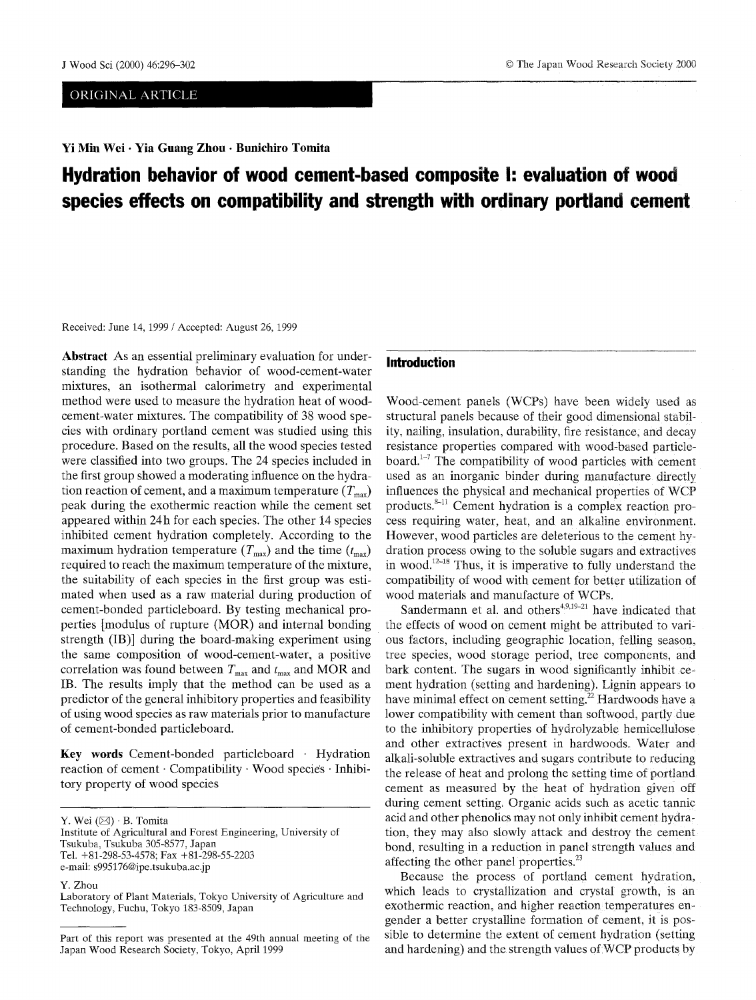# ORIGINAL ARTICLE

Yi Min Wei · Yia Guang Zhou · Bunichiro Tomita

# J Wood Sci (2000) 46:296-302 9 The Japan Wood Research Society 2000

# **Hydration behavior of wood cement-based composite i: evaiuation of wood species effects on compatibility and strength with ordinary portland cement**

Received: June 14, 1999 / Accepted: August 26, 1999

**Abstract** As an essential preliminary evaluation for understanding the hydration behavior of wood-cement-water mixtures, an isothermal calorimetry and experimental method were used to measure the hydration heat of woodcement-water mixtures. The compatibility of 38 wood species with ordinary portland cement was studied using this procedure. Based on the results, **all** the wood species tested were classified into two groups. The 24 species included in the first group showed a moderating influence on the hydration reaction of cement, and a maximum temperature  $(T_{\text{max}})$ peak during the exothermic reaction while the cement set appeared within 24h for each species. The other 14 species inhibited cement hydration completely. According to the maximum hydration temperature  $(T_{\text{max}})$  and the time  $(t_{\text{max}})$ required to reach the maximum temperature of the mixture, the suitability of each species in the first group was estimated when used as a raw material during production of cement-bonded particleboard. By testing mechanical properties [modulus of rupture (MOR) and internal bonding strength (IB)] during the board-making experiment using the same composition of wood-cement-water, a positive correlation was found between  $T_{\text{max}}$  and  $t_{\text{max}}$  and MOR and IB. The results imply that the method can be used as a predictor of the general inhibitory properties and feasibility of using wood species as raw materials prior to manufacture of cement-bonded particleboard.

Key words Cement-bonded particleboard · Hydration reaction of cement  $\cdot$  Compatibility  $\cdot$  Wood species  $\cdot$  Inhibitory property of wood species

Y. Wei  $(\boxtimes) \cdot$  B. Tomita

Institute of Agricultural and Forest Engineering, University of Tsukuba, Tsukuba 305-8577, Japan Tel. +81-298-53-4578; Fax +81-298-55-2203 e-mail: s995176@ipe.tsukuba.ac.jp

Y. Zhou

Laboratory of Plant Materials, Tokyo University of Agriculture and Technology, Fuchu, Tokyo 183-8509, Japan

## **Introduction**

Wood-cement panels (WCPs) have been widely used as structural panels because of their good dimensional stability, nailing, insulation, durability, fire resistance, and decay resistance properties compared with wood-based particleboard. ${}^{1-7}$  The compatibility of wood particles with cement used as an inorganic binder during manufacture directly influences the physical and mechanical properties of WCP products.<sup>8-11</sup> Cement hydration is a complex reaction process requiring water, heat. and an alkaline environment. However. wood particles are deleterious to the cement hydration process owing to the soluble sugars and extractives in wood.<sup> $12-18$ </sup> Thus, it is imperative to fully understand the compatibility of wood with cement for better utilization of wood materials and manufacture of WCPs.

Sandermann et al. and others $4.9,19-21$  have indicated that the effects of wood on cement might be attributed to various factors, including geographic location, felling season, tree species, wood storage period, tree components, and bark content. The sugars in wood significantly inhibit cement hydration (setting and hardening). Lignin appears to have minimal effect on cement setting.<sup>22</sup> Hardwoods have a lower compatibility with cement than softwood, partly due to the inhibitory properties of hydrolyzable hemicellulose and other extractives present in hardwoods. Water and alkali-soluble extractives and sugars contribute to reducing the release of heat and prolong the setting time of portland cement as measured by the heat of hydration given off during cement setting. Organic acids such as acetic tannic acid and other phenolics may not onlv inhibit cement hydration, they may also slowly attack and destroy the cement bond, resulting in a reduction in panel strength values and affecting the other panel properties.<sup>23</sup>

Because the process of portland cement hydration. which leads to crystallization and crystal growth, is an exothermic reaction, and higher reaction temperatures engender a better crystalline formation of cement, it is possible to determine the extent of cement hydration (setting and hardening) and the strength values of WCP products by

Part of this report was presented at the 49th annual meeting of the Japan Wood Research Society, Tokyo, April 1999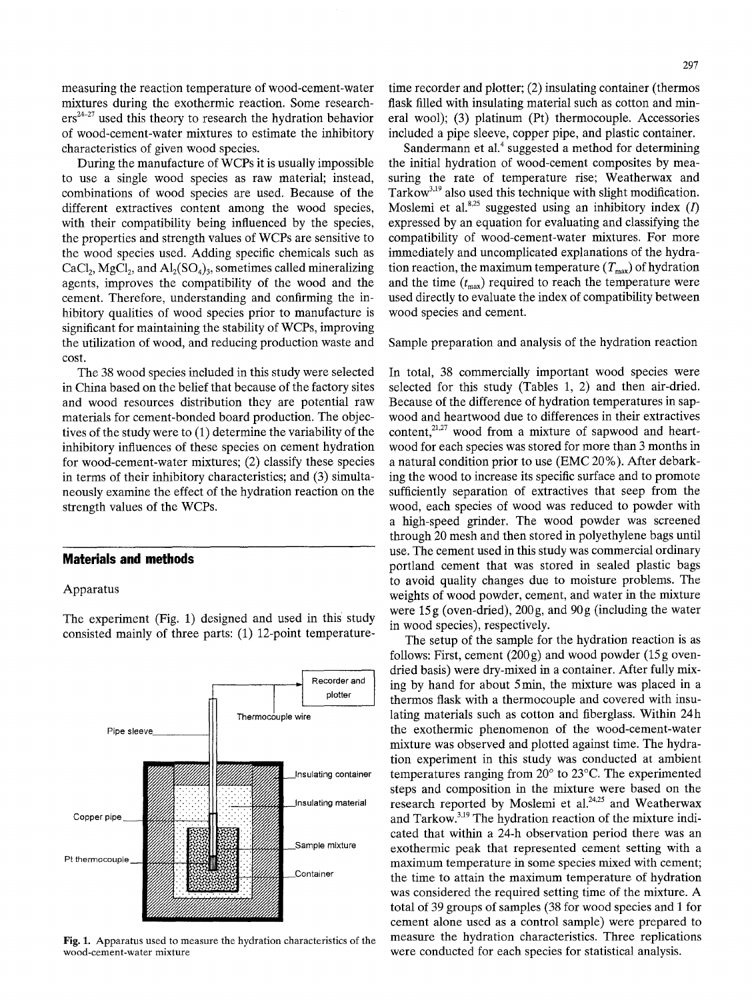measuring the reaction temperature of wood-cement-water mixtures during the exothermic reaction. Some research $ers^{24-27}$  used this theory to research the hydration behavior of wood-cement-water mixtures to estimate the inhibitory characteristics of given wood species.

During the manufacture of WCPs it is usually impossible to use a single wood species as raw material; instead, combinations of wood species are used. Because of the different extractives content among the wood species, with their compatibility being influenced by the species, the properties and strength values of WCPs are sensitive to the wood species used. Adding specific chemicals such as  $CaCl<sub>2</sub>$ , MgCl<sub>2</sub>, and Al<sub>2</sub>(SO<sub>4</sub>)<sub>3</sub>, sometimes called mineralizing agents, improves the compatibility of the wood and the cement. Therefore, understanding and confirming the inhibitory qualities of wood species prior to manufacture is significant for maintaining the stability of WCPs, improving the utilization of wood, and reducing production waste and cost.

The 38 wood species included in this study were selected in China based on the belief that because of the factory sites and wood resources distribution they are potential raw materials for cement-bonded board production. The objectives of the study were to (1) determine the variability of the inhibitory influences of these species on cement hydration for wood-cement-water mixtures; (2) classify these species in terms of their inhibitory characteristics; and (3) simultaneously examine the effect of the hydration reaction on the strength values of the WCPs.

## **Materials and methods**

Apparatus



The experiment (Fig. 1) designed and used in this study consisted mainly of three parts: (1) 12-point temperature-

Fig. 1. Apparatus used to measure the hydration characteristics of the wood-cement-water mixture

time recorder and plotter; (2) insulating container (thermos flask filled with insulating material such as cotton and mineral wool); (3) platinum (Pt) thermocouple. Accessories included a pipe sleeve, copper pipe, and plastic container.

Sandermann et al. $4$  suggested a method for determining the initial hydration of wood-cement composites by measuring the rate of temperature rise; Weatherwax and Tarkow<sup>3,19</sup> also used this technique with slight modification. Moslemi et al. $8.25$  suggested using an inhibitory index (*I*) expressed by an equation for evaluating and classifying the compatibility of wood-cement-water mixtures. For more immediately and uncomplicated explanations of the hydration reaction, the maximum temperature  $(T_{\text{max}})$  of hydration and the time  $(t<sub>max</sub>)$  required to reach the temperature were used directly to evaluate the index of compatibility between wood species and cement.

Sample preparation and analysis of the hydration reaction

In total, 38 commercially important wood species were selected for this study (Tables 1, 2) and then air-dried. Because of the difference of hydration temperatures in sapwood and heartwood due to differences in their extractives content, $2^{1,27}$  wood from a mixture of sapwood and heartwood for each species was stored for more than 3 months in a natural condition prior to use (EMC 20%). After debarking the wood to increase its specific surface and to promote sufficiently separation of extractives that seep from the wood, each species of wood was reduced to powder with a high-speed grinder. The wood powder was screened through 20 mesh and then stored in polyethylene bags until use. The cement used in this study was commercial ordinary portland cement that was stored in sealed plastic bags to avoid quality changes due to moisture problems. The weights of wood powder, cement, and water in the mixture were 15g (oven-dried), 200g, and 90g (including the water in wood species), respectively.

The setup of the sample for the hydration reaction is as follows: First, cement  $(200g)$  and wood powder  $(15g)$  ovendried basis) were dry-mixed in a container. After fully mixing by hand for about 5 min, the mixture was placed in a thermos flask with a thermocouple and covered with insulating materials such as cotton and fiberglass. Within 24h the exothermic phenomenon of the wood-cement-water mixture was observed and plotted against time. The hydration experiment in this study was conducted at ambient temperatures ranging from  $20^{\circ}$  to  $23^{\circ}$ C. The experimented steps and composition in the mixture were based on the research reported by Moslemi et al.<sup>24,25</sup> and Weatherwax and Tarkow. $3,19$  The hydration reaction of the mixture indicated that within a 24-h observation period there was an exothermic peak that represented cement setting with a maximum temperature in some species mixed with cement; the time to attain the maximum temperature of hydration was considered the required setting time of the mixture. A total of 39 groups of samples (38 for wood species and 1 for cement alone used as a control sample) were prepared to measure the hydration characteristics. Three replications were conducted for each species for statistical analysis.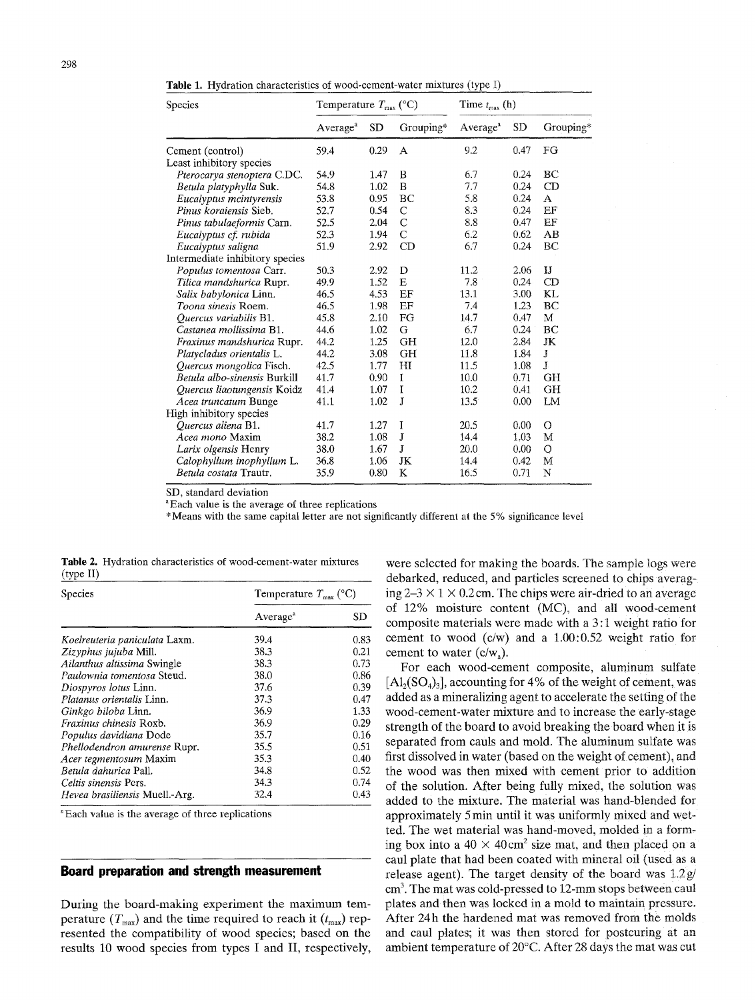**Table** 1. Hydration characteristics of wood-cement-water mixtures (type I)

| Species                         | Temperature $T_{\text{max}}$ (°C) |           |               | Time $t_{\text{max}}$ (h) |           |              |
|---------------------------------|-----------------------------------|-----------|---------------|---------------------------|-----------|--------------|
|                                 | Average <sup>a</sup>              | <b>SD</b> | Grouping*     | Average <sup>a</sup>      | <b>SD</b> | Grouping*    |
| Cement (control)                | 59.4                              | 0.29      | A             | 9.2                       | 0.47      | FG           |
| Least inhibitory species        |                                   |           |               |                           |           |              |
| Pterocarya stenoptera C.DC.     | 54.9                              | 1.47      | B             | 6.7                       | 0.24      | BC           |
| Betula platyphylla Suk.         | 54.8                              | 1.02      | B             | 7.7                       | 0.24      | CD           |
| Eucalyptus mcintyrensis         | 53.8                              | 0.95      | BC            | 5.8                       | 0.24      | A            |
| Pinus koraiensis Sieb.          | 52.7                              | 0.54      | $\mathsf{C}$  | 8.3                       | 0.24      | EF           |
| Pinus tabulaeformis Carn.       | 52.5                              | 2.04      | $\mathcal{C}$ | 8.8                       | 0.47      | EF           |
| Eucalyptus cf. rubida           | 52.3                              | 1.94      | $\mathcal{C}$ | 6.2                       | 0.62      | AB           |
| Eucalyptus saligna              | 51.9                              | 2.92      | CD            | 6.7                       | 0.24      | BC           |
| Intermediate inhibitory species |                                   |           |               |                           |           |              |
| Populus tomentosa Carr.         | 50.3                              | 2.92      | D             | 11.2                      | 2.06      | $\mathbf{I}$ |
| Tilica mandshurica Rupr.        | 49.9                              | 1.52      | E             | 7.8                       | $0.24 -$  | CD           |
| Salix babylonica Linn.          | 46.5                              | 4.53      | EF            | 13.1                      | 3.00      | KL           |
| Toona sinesis Roem.             | 46.5                              | 1.98      | EF            | 7.4                       | 1.23.     | BC           |
| Quercus variabilis B1.          | 45.8                              | 2.10      | FG            | 14.7                      | 0.47      | M            |
| Castanea mollissima B1.         | 44.6                              | 1.02      | G             | 6.7                       | 0.24      | BC           |
| Fraxinus mandshurica Rupr.      | 44.2                              | 1.25      | GH            | 12.0                      | 2.84      | JK           |
| Platycladus orientalis L.       | 44.2                              | 3.08      | GH            | 11.8                      | 1.84      | J            |
| Quercus mongolica Fisch.        | 42.5                              | 1.77      | H             | 11.5                      | 1.08      | J            |
| Betula albo-sinensis Burkill    | 41.7                              | 0.90      | I             | 10.0                      | 0.71      | <b>GH</b>    |
| Quercus liaotungensis Koidz     | 41.4                              | 1.07      | I             | 10.2                      | 0.41      | GH           |
| Acea truncatum Bunge            | 41.1                              | 1.02      | J             | 13.5                      | 0.00      | LM           |
| High inhibitory species         |                                   |           |               |                           |           |              |
| Quercus aliena B1.              | 41.7                              | 1.27      | I             | 20.5                      | 0.00      | O            |
| <i>Acea mono</i> Maxim          | 38.2                              | 1.08      | J             | 14.4                      | 1.03      | M            |
| Larix olgensis Henry            | 38.0                              | 1.67      | J             | 20.0                      | 0.00      | $\circ$      |
| Calophyllum inophyllum L.       | 36.8                              | 1.06      | JK            | 14.4                      | 0.42      | M            |
| <i>Betula costata</i> Trautr.   | 35.9                              | 0.80      | K             | 16.5                      | 0.71      | N            |

SD, standard deviation

<sup>a</sup>Each value is the average of three replications

\* Means with the same capital letter are not significantly different at the 5 % significance level

Species Temperature  $T_{\text{max}}$  (°C) Average<sup>a</sup> SD *Koelreuteria paniculata* Laxm. *Zizyphus jujuba* Mill. *Ailanthus altissima* Swingle *Paulownia tomentosa* Steud. *Diospyros lotus* Linn. *Platanus orientalis* Linn. *Ginkgo biloba* Linn. *Fraxinus chinesis* Roxb. *Populus davidiana* Dode *PheUodendron amurense* Rupr. *Acer tegmentosurn* Maxim *Betula dahurica* Pall. *CeItis sinensis* Pers. *Hevea brasiliensis* Muell.-Arg. 39.4 0.83 38.3 0.21 38.3 0.73 38.0 0.86<br>37.6 0.39 0.39 37.3 0.47<br>36.9 1.33 1,33 36.9 0.29 35.7 0.16 35.5 0.51 35.3 0.40<br>34.8 0.52 0.52 34,3 0.74<br>32.4 0.43 0.43

|           | <b>Table 2.</b> Hydration characteristics of wood-cement-water mixtures |  |  |
|-----------|-------------------------------------------------------------------------|--|--|
| (type II) |                                                                         |  |  |

<sup>a</sup>Each value is the average of three replications

#### **Board preparation and strength measurement**

During the board-making experiment the maximum temperature  $(T_{\text{max}})$  and the time required to reach it  $(t_{\text{max}})$  represented the compatibility of wood species; based on the results 10 wood species from types I and II, respectively, were selected for making the boards. The sample logs were debarked, reduced, and particles screened to chips averaging  $2-3 \times 1 \times 0.2$  cm. The chips were air-dried to an average of 12% moisture content (MC), and all wood-cemem composite materials were made with a 3:1 weight ratio for cement to wood (c/w) and a 1.00:0.52 weight ratio for cement to water (c/w,).

For each wood-cement composite, aluminum sulfate  $[A_1(SO_4)_3]$ , accounting for 4% of the weight of cement, was added as a mineralizing agent to accelerate the setting of the wood-cement-water mixture and to increase the early-stage strength of the board to avoid breaking the board when it is separated from cauls and mold. The aluminum sulfate was first dissolved in water (based on the weight of cement), and the wood was then mixed with cement prior to addition of the solution. After being fully mixed, the solution was added to the mixture. The material was hand-blended for approximately 5 min until it was uniformly mixed and wetted. The wet material was hand-moved, molded in a forming box into a  $40 \times 40 \text{ cm}^2$  size mat, and then placed on a caul plate that had been coated with mineral oil (used as a release agent). The target density of the board was  $1.2g/$ cm<sup>3</sup>. The mat was cold-pressed to 12-mm stops between caul plates and then was locked in a mold to maintain pressure. After 24h the hardened mat was removed from the molds and caul plates: it was then stored for postcuring at an ambient temperature of 20°C. After 28 days the mat was cut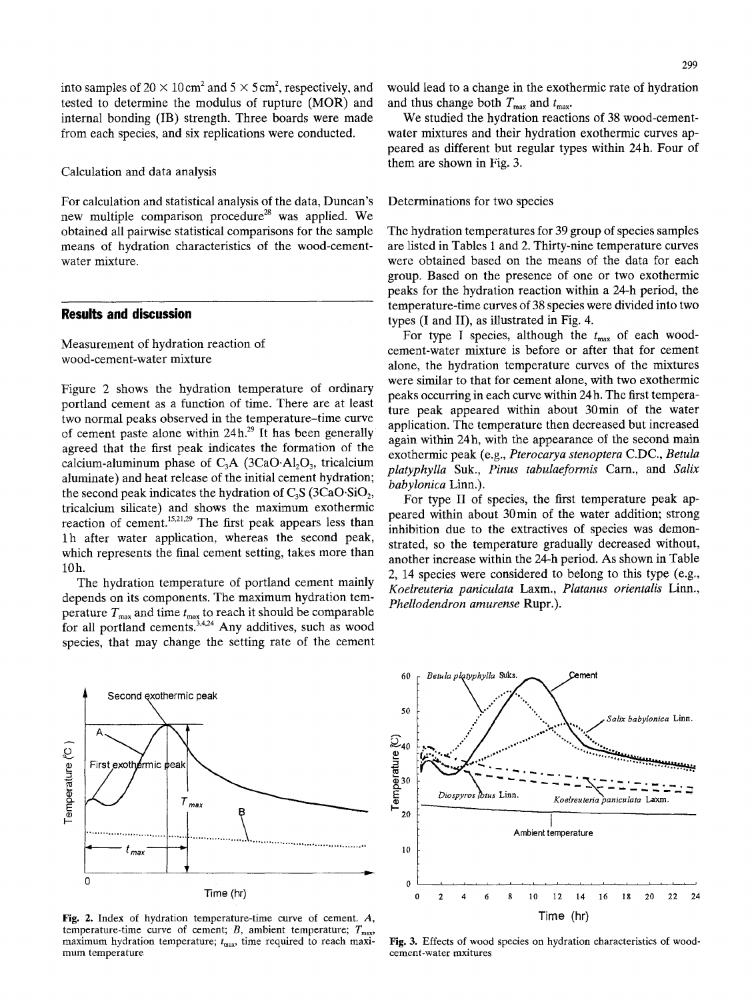into samples of 20  $\times$  10 cm<sup>2</sup> and 5  $\times$  5 cm<sup>2</sup>, respectively, and tested to determine the modulus of rupture (MOR) and internal bonding (IB) strength. Three boards were made from each species, and six replications were conducted.

Calculation and data analysis

For calculation and statistical analysis of the data, Duncan's new multiple comparison procedure<sup>28</sup> was applied. We obtained all pairwise statistical comparisons for the sample means of hydration characteristics of the wood-cementwater mixture.

# **Results and discussion**

Measurement of hydration reaction of wood-cement-water mixture

Figure 2 shows the hydration temperature of ordinary portland cement as a function of time. There are at least two normal peaks observed in the temperature-time curve of cement paste alone within  $24h^{29}$  It has been generally agreed that the first peak indicates the formation of the calcium-aluminum phase of  $C_3A$  (3CaO.Al<sub>2</sub>O<sub>3</sub>, tricalcium aluminate) and heat release of the initial cement hydration; the second peak indicates the hydration of  $C_3S$  (3CaO.SiO<sub>2</sub>, tricalcium silicate) and shows the maximum exothermic reaction of cement.<sup>15,21,29</sup> The first peak appears less than l h after water application, whereas the second peak, which represents the final cement setting, takes more than 10h.

The hydration temperature of portland cement mainly depends on its components. The maximum hydration temperature  $T_{\text{max}}$  and time  $t_{\text{max}}$  to reach it should be comparable for all portland cements.<sup>3,4,24</sup> Any additives, such as wood species, that may change the setting rate of the cement

would lead to a change in the exothermic rate of hydration and thus change both  $T_{\text{max}}$  and  $t_{\text{max}}$ .

We studied the hydration reactions of 38 wood-cementwater mixtures and their hydration exothermic curves appeared as different but regular types within 24h. Four of them are shown in Fig. 3.

Determinations for two species

The hydration temperatures for 39 group of species samples are listed in Tables 1 and 2. Thirty-nine temperature curves were obtained based on the means of the data for each group. Based on the presence of one or two exothermic peaks for the hydration reaction within a 24-h period, the temperature-time curves of 38 species were divided into two types (I and II), as illustrated in Fig. 4.

For type I species, although the  $t_{\text{max}}$  of each woodcement-water mixture is before or after that for cement alone, the hydration temperature curves of the mixtures were similar to that for cement alone, with two exothermic peaks occurring in each curve within 24 h. The first temperature peak appeared within about 30min of the water application. The temperature then decreased but increased again within 24h, with the appearance of the second main exothermic peak (e.g., *Pterocarya stenoptera* C.DC., *Betula platyphylla* Suk., *Pinus tabulaeformis* Carn., and *Salix babylonica* Linn.).

For type II of species, the first temperature peak appeared within about 30min of the water addition; strong inhibition due to the extractives of species was demonstrated, so the temperature gradually decreased without, another increase within the 24-h period. As shown in Table 2, 14 species were considered to belong to this type (e.g., *Koelreuteria paniculata* Laxm., *Platanus orientalis* Linn., *Phellodendron amurense* Rupr.).



Fig. 2. Index of hydration temperature-time curve of cement. A, temperature-time curve of cement; B, ambient temperature;  $T_{\text{max}}$ maximum hydration temperature;  $t_{\text{max}}$ , time required to reach maximum temperature



Fig. 3. Effects of wood species on hydration characteristics of woodcement-water mxitures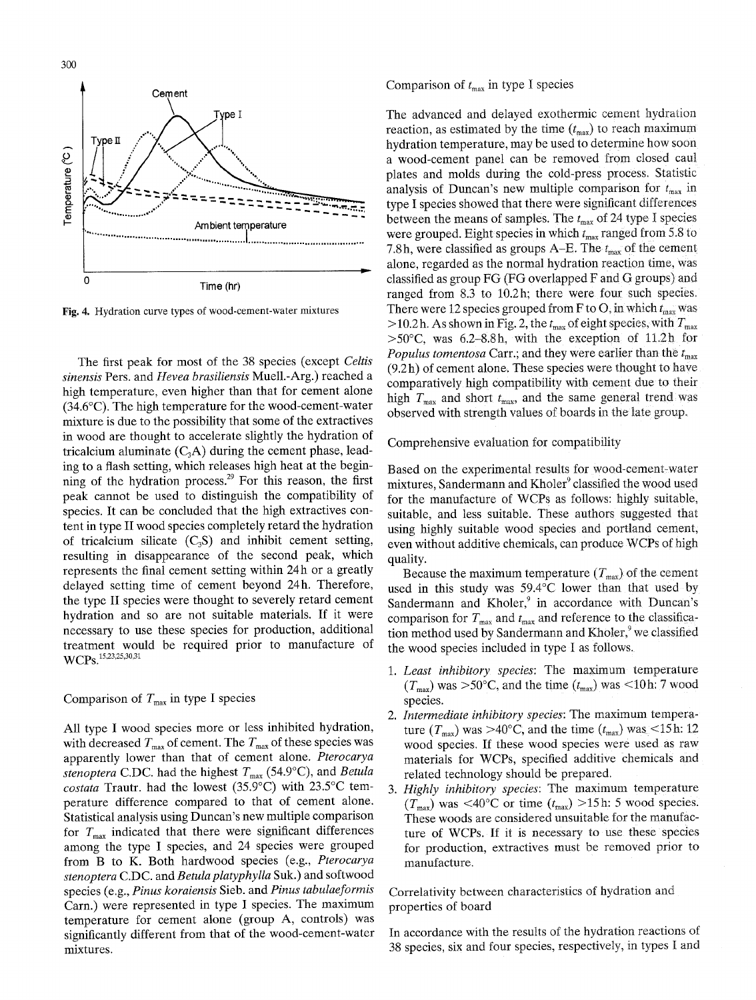300



Fig. 4. Hydration curve types of wood-cement-water mixtures

The first peak for most of the 38 species (except *Celtis sinensis* Pers. and *Hevea brasiliensis* Muell.-Arg.) reached a high temperature, even higher than that for cement alone  $(34.6^{\circ}$ C). The high temperature for the wood-cement-water mixture is due to the possibility that some of the extractives in wood are thought to accelerate slightly the hydration of tricalcium aluminate  $(C_3A)$  during the cement phase, leading to a flash setting, which releases high heat at the beginning of the hydration process.<sup>29</sup> For this reason, the first peak cannot be used to distinguish the compatibility of species. It can be concluded that the high extractives content in type II wood species completely retard the hydration of tricalcium silicate  $(C_3S)$  and inhibit cement setting, resulting in disappearance of the second peak, which represents the final cement setting within 24h or a greatly delayed setting time of cement beyond 24h. Therefore, the type II species were thought to severely retard cement hydration and so are not suitable materials. If it were necessary to use these species for production, additional treatment would be required prior to manufacture of WCPs.<sup>15,23,25,30,31</sup>

# Comparison of  $T_{\text{max}}$  in type I species

All type I wood species more or less inhibited hydration, with decreased  $T_{\text{max}}$  of cement. The  $T_{\text{max}}$  of these species was apparently lower than that of cement alone. *Pterocarya stenoptera* C.DC. had the highest  $T_{\text{max}}$  (54.9°C), and *Betula costata* Trautr. had the lowest  $(35.9^{\circ}C)$  with  $23.5^{\circ}C$  temperature difference compared to that of cement alone. Statistical analysis using Duncan's new multiple comparison for  $T_{\text{max}}$  indicated that there were significant differences among the type I species, and 24 species were grouped from B to K. Both hardwood species (e.g., *Pterocarya stenoptera* C.DC. and *Betulaplatyphylla* Suk.) and softwood species (e.g., *Pinus koraiensis* Sieb. and *Pinus tabulaeformis*  Cam.) were represented in type I species. The maximum temperature for cement alone (group A, controls) was significantly different from that of the wood-cement-water mixtures.

Comparison of  $t_{\text{max}}$  in type I species

The advanced and delayed exothermic cement hydration reaction, as estimated by the time  $(t_{\text{max}})$  to reach maximum hydration temperature, may be used to determine how soon a wood-cement panel can be removed from closed caul plates and molds during the cold-press process. Statistic analysis of Duncan's new multiple comparison for  $t_{\text{max}}$  in type I species showed that there were significant differences between the means of samples. The  $t_{\text{max}}$  of 24 type I species were grouped. Eight species in which  $t_{\text{max}}$  ranged from 5.8 to 7.8h, were classified as groups A–E. The  $t_{\text{max}}$  of the cement alone, regarded as the normal hydration reaction time. was classified as group FG (FG overlapped F and G groups) and ranged from 8.3 to 10.2h: there were four such species. There were 12 species grouped from F to O, in which  $t_{\text{max}}$  was >10.2h. As shown in Fig. 2, the  $t_{\text{max}}$  of eight species, with  $T_{\text{max}}$  $>50^{\circ}$ C, was 6.2-8.8h, with the exception of 11.2h for *Populus tomentosa* Carr.; and they were earlier than the  $t_{\text{max}}$ (9.2 h) of cement alone. These species were thought to have comparatively high compatibility with cement due to their high  $T_{\text{max}}$  and short  $t_{\text{max}}$ , and the same general trend was observed with strength values of boards in the late group.

Comprehensive evaluation for compatibility

Based on the experimental results for wood-cement-water mixtures, Sandermann and Kholer<sup>9</sup> classified the wood used for the manufacture of WCPs as follows: highly suitable, suitable, and less suitable. These authors suggested that using highly suitable wood species and portland cement, even without additive chemicals, can produce WCPs of high quality.

Because the maximum temperature  $(T_{\text{max}})$  of the cement used in this study was  $59.4^{\circ}$ C lower than that used by Sandermann and Kholer, $9$  in accordance with Duncan's comparison for  $T_{\text{max}}$  and  $t_{\text{max}}$  and reference to the classification method used by Sandermann and Kholer,<sup>9</sup> we classified the wood species included in type I as follows.

- *1. Least inhibitory species:* The maximum temperature  $(T_{\text{max}})$  was >50°C, and the time  $(t_{\text{max}})$  was <10h: 7 wood species.
- *2. Intermediate inhibitory species:* The maximum temperature  $(T_{\text{max}})$  was >40°C, and the time  $(t_{\text{max}})$  was <15h: 12 wood species. If these wood species were used as raw materials for WCPs, specified additive Chemicals and related technology should be prepared.
- *3. Highly inhibitory species:* The maximum temperature  $(T_{\text{max}})$  was <40°C or time  $(t_{\text{max}})$  >15h: 5 wood species. These woods are considered unsuitable for the manufacture of WCPs. If it is necessary to use these species for production, extractives must be removed prior to manufacture.

Correlativity between characteristics of hydration and properties of board

In accordance with the results of the hydration reactions of 38 species, six and four species, respectively, in types I and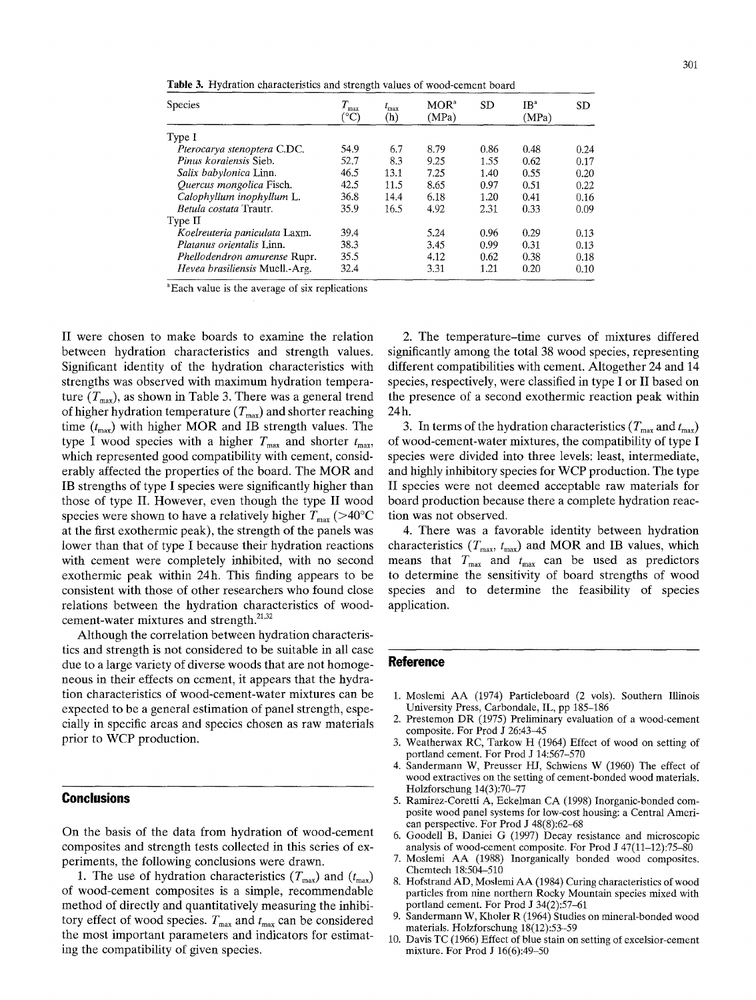**Table** 3. Hydration characteristics and strength values of wood-cement board

| <b>Species</b>                      | $T_{\rm max}$<br>(°C) | $t_{\rm max}$<br>(h) | MOR <sup>a</sup><br>(MPa) | <b>SD</b> | IB <sup>a</sup><br>(MPa) | <b>SD</b> |
|-------------------------------------|-----------------------|----------------------|---------------------------|-----------|--------------------------|-----------|
| Type I                              |                       |                      |                           |           |                          |           |
| Pterocarya stenoptera C.DC.         | 54.9                  | 6.7                  | 8.79                      | 0.86      | 0.48                     | 0.24      |
| <i>Pinus koraiensis Sieb.</i>       | 52.7                  | 8.3                  | 9.25                      | 1.55      | 0.62                     | 0.17      |
| Salix babylonica Linn.              | 46.5                  | 13.1                 | 7.25                      | 1.40      | 0.55                     | 0.20      |
| Quercus mongolica Fisch.            | 42.5                  | 11.5                 | 8.65                      | 0.97      | 0.51                     | 0.22      |
| Calophyllum inophyllum L.           | 36.8                  | 14.4                 | 6.18                      | 1.20      | 0.41                     | 0.16      |
| Betula costata Trautr.              | 35.9                  | 16.5                 | 4.92                      | 2.31      | 0.33                     | 0.09      |
| Type II                             |                       |                      |                           |           |                          |           |
| Koelreuteria paniculata Laxm.       | 39.4                  |                      | 5.24                      | 0.96      | 0.29                     | 0.13      |
| <i>Platanus orientalis</i> Linn.    | 38.3                  |                      | 3.45                      | 0.99      | 0.31                     | 0.13      |
| <i>Phellodendron amurense Rupr.</i> | 35.5                  |                      | 4.12                      | 0.62      | 0.38                     | 0.18      |
| Hevea brasiliensis Muell.-Arg.      | 32.4                  |                      | 3.31                      | 1.21      | 0.20                     | 0.10      |

~Each value is the average of six replications

II were chosen to make boards to examine the relation between hydration characteristics and strength values. Significant identity of the hydration characteristics with strengths was observed with maximum hydration temperature  $(T<sub>max</sub>)$ , as shown in Table 3. There was a general trend of higher hydration temperature  $(T_{\text{max}})$  and shorter reaching time  $(t_{\text{max}})$  with higher MOR and IB strength values. The type I wood species with a higher  $T_{\text{max}}$  and shorter  $t_{\text{max}}$ , which represented good compatibility with cement, considerably affected the properties of the board. The MOR and IB strengths of type I species were significantly higher than those of type II. However, even though the type II wood species were shown to have a relatively higher  $T_{\text{max}}$  (>40°C at the first exothermic peak), the strength of the panels was lower than that of type I because their hydration reactions with cement were completely inhibited, with no second exothermic peak within 24h. This finding appears to be consistent with those of other researchers who found close relations between the hydration characteristics of woodcement-water mixtures and strength.<sup>21,32</sup>

Although the correlation between hydration characteristics and strength is not considered to be suitable in **all** case due to a large variety of diverse woods that are not homogeneous in their effects on cement, it appears that the hydration characteristics of wood-cement-water mixtures can be expected to be a general estimation of panel strength, especially in specific areas and species chosen as raw materials prior to WCP production.

# **Conclusions**

On the basis of the data from hydration of wood-cement composites and strength tests collected in this series of experiments, the following conclusions were drawn.

1. The use of hydration characteristics  $(T_{\text{max}})$  and  $(t_{\text{max}})$ of wood-cement composites is a simple, recommendable method of directly and quantitatively measuring the inhibitory effect of wood species.  $T_{\text{max}}$  and  $t_{\text{max}}$  can be considered the most important parameters and indicators for estimating the compatibility of given species.

2. The temperature-time curves of mixtures differed significantly among the total 38 wood species, representing different compatibilities with cement. Altogether 24 and 14 species, respectively, were classified in type I or II based on the presence of a second exothermic reaction peak within 24h.

3. In terms of the hydration characteristics ( $T_{\text{max}}$  and  $t_{\text{max}}$ ) of wood-cement-water mixtures, the compatibility of type I species were divided into three levels: least, intermediate, and highly inhibitory species for WCP production. The type II species were not deemed acceptable raw materials for board production because there a complete hydration reaction was not observed.

4. There was a favorable identity between hydration characteristics ( $T_{\text{max}}$ ,  $t_{\text{max}}$ ) and MOR and IB values, which means that  $T_{\text{max}}$  and  $t_{\text{max}}$  can be used as predictors to determine the sensitivity of board strengths of wood species and to determine the feasibility of species application.

#### **Reference**

- 1. Moslemi AA (1974) Particleboard (2 vols). Southern Illinois University Press, Carbondale, IL, pp 185-186
- 2. Prestemon DR (1975) Preliminary evaluation of a wood-cement composite, For Prod J 26:43-45
- 3. Weatherwax RC, Tarkow H (1964) Effect of wood on setting of portland cement. For Prod J 14:567-570
- 4. Sandermann W, Preusser HJ, Schwiens W (1960) The effect of wood extractives on the setting of cement-bonded wood materials. Holzforschung 14(3):70-77
- 5. Ramirez-Coretti A, Eckelman CA (1998) Inorganic-bonded composite wood panel systems for low-cost housing: a Central American perspective. For Prod J 48(8):62-68
- 6. Goodell B, Daniei G (1997) Decay resistance and microscopic analysis of wood-cement composite. For Prod J 47(11-12):75-80
- 7. Moslemi AA (1988) Inorganically bonded wood composites. Chemtech 18:504-510
- 8. Hofstrand AD, Moslemi AA (1984) Curing characteristics of wood particles from nine northern Rocky Mountain species mixed with portland cement. For Prod J 34(2):57-61
- 9. Sandermann W, Kholer R (1964) Studies on mineral-bonded wood materials. Holzforschung 18(12):53-59
- 10. Davis TC (1966) Effect of blue stain on setting of excelsior-cement mixture. For Prod J 16(6):49-50